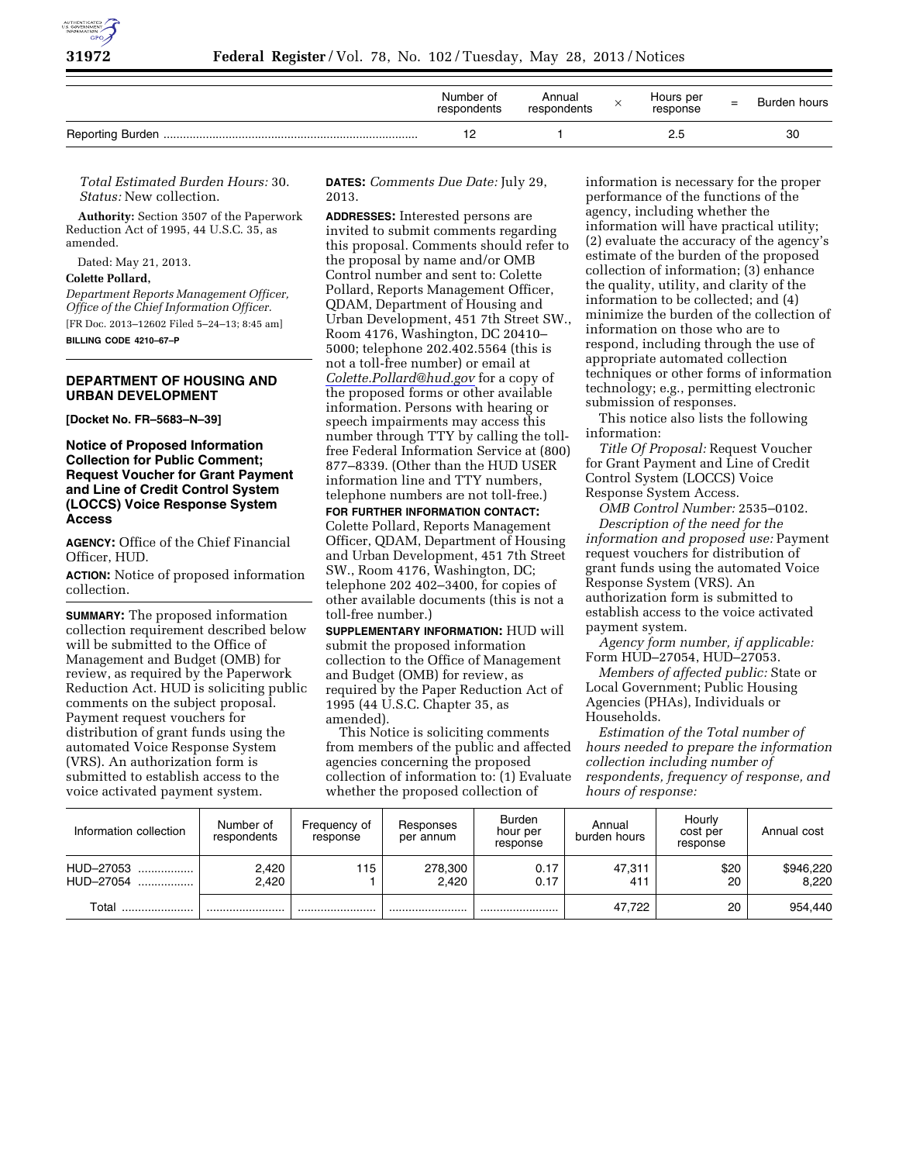

| Number of<br>respondents | Annual<br>respondents | Hours per<br>response | $=$ | Burden hours |
|--------------------------|-----------------------|-----------------------|-----|--------------|
|                          |                       | 2.5                   |     | 30           |

*Total Estimated Burden Hours:* 30. *Status:* New collection.

**Authority:** Section 3507 of the Paperwork Reduction Act of 1995, 44 U.S.C. 35, as amended.

Dated: May 21, 2013.

#### **Colette Pollard,**

*Department Reports Management Officer, Office of the Chief Information Officer.*  [FR Doc. 2013–12602 Filed 5–24–13; 8:45 am] **BILLING CODE 4210–67–P** 

## **DEPARTMENT OF HOUSING AND URBAN DEVELOPMENT**

**[Docket No. FR–5683–N–39]** 

## **Notice of Proposed Information Collection for Public Comment; Request Voucher for Grant Payment and Line of Credit Control System (LOCCS) Voice Response System Access**

**AGENCY:** Office of the Chief Financial Officer, HUD.

**ACTION:** Notice of proposed information collection.

**SUMMARY:** The proposed information collection requirement described below will be submitted to the Office of Management and Budget (OMB) for review, as required by the Paperwork Reduction Act. HUD is soliciting public comments on the subject proposal. Payment request vouchers for distribution of grant funds using the automated Voice Response System (VRS). An authorization form is submitted to establish access to the voice activated payment system.

**DATES:** *Comments Due Date:* July 29, 2013.

**ADDRESSES:** Interested persons are invited to submit comments regarding this proposal. Comments should refer to the proposal by name and/or OMB Control number and sent to: Colette Pollard, Reports Management Officer, QDAM, Department of Housing and Urban Development, 451 7th Street SW., Room 4176, Washington, DC 20410– 5000; telephone 202.402.5564 (this is not a toll-free number) or email at *[Colette.Pollard@hud.gov](mailto:Colette.Pollard@hud.gov)* for a copy of the proposed forms or other available information. Persons with hearing or speech impairments may access this number through TTY by calling the tollfree Federal Information Service at (800) 877–8339. (Other than the HUD USER information line and TTY numbers, telephone numbers are not toll-free.)

**FOR FURTHER INFORMATION CONTACT:**  Colette Pollard, Reports Management Officer, QDAM, Department of Housing and Urban Development, 451 7th Street SW., Room 4176, Washington, DC; telephone 202 402–3400, for copies of other available documents (this is not a toll-free number.)

**SUPPLEMENTARY INFORMATION:** HUD will submit the proposed information collection to the Office of Management and Budget (OMB) for review, as required by the Paper Reduction Act of 1995 (44 U.S.C. Chapter 35, as amended).

This Notice is soliciting comments from members of the public and affected agencies concerning the proposed collection of information to: (1) Evaluate whether the proposed collection of

information is necessary for the proper performance of the functions of the agency, including whether the information will have practical utility; (2) evaluate the accuracy of the agency's estimate of the burden of the proposed collection of information; (3) enhance the quality, utility, and clarity of the information to be collected; and (4) minimize the burden of the collection of information on those who are to respond, including through the use of appropriate automated collection techniques or other forms of information technology; e.g., permitting electronic submission of responses.

This notice also lists the following information:

*Title Of Proposal:* Request Voucher for Grant Payment and Line of Credit Control System (LOCCS) Voice Response System Access.

*OMB Control Number:* 2535–0102. *Description of the need for the information and proposed use:* Payment request vouchers for distribution of grant funds using the automated Voice Response System (VRS). An authorization form is submitted to establish access to the voice activated payment system.

*Agency form number, if applicable:*  Form HUD–27054, HUD–27053.

*Members of affected public:* State or Local Government; Public Housing Agencies (PHAs), Individuals or Households.

*Estimation of the Total number of hours needed to prepare the information collection including number of respondents, frequency of response, and hours of response:* 

| Information collection | Number of<br>respondents | Frequency of<br>response | Responses<br>per annum | <b>Burden</b><br>hour per<br>response | Annual<br>burden hours | Hourly<br>cost per<br>response | Annual cost        |
|------------------------|--------------------------|--------------------------|------------------------|---------------------------------------|------------------------|--------------------------------|--------------------|
| HUD-27053<br>HUD-27054 | 2,420<br>2,420           | 115                      | 278,300<br>2.420       | 0.17<br>0.17                          | 47.311<br>411          | \$20<br>20                     | \$946,220<br>8.220 |
| Total                  |                          |                          |                        |                                       | 47.722                 | 20                             | 954,440            |